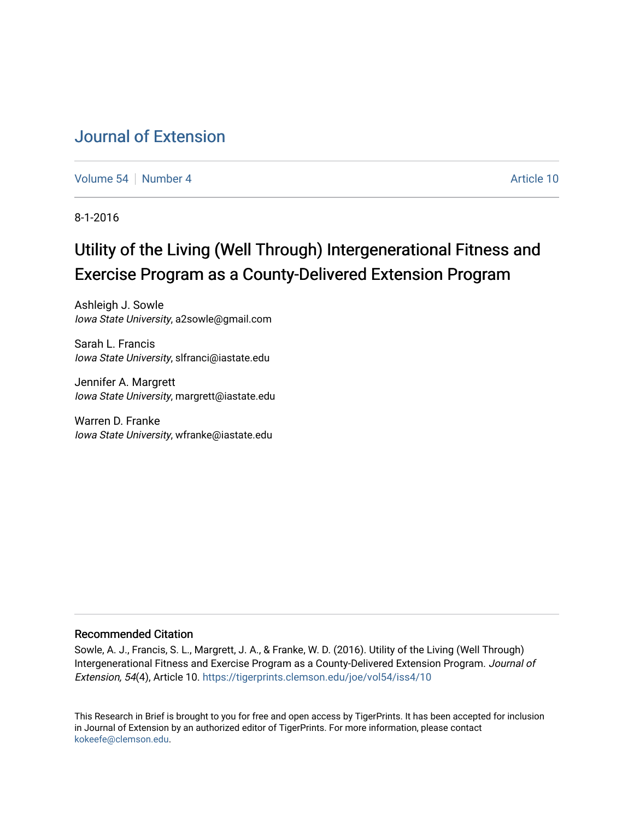# [Journal of Extension](https://tigerprints.clemson.edu/joe)

[Volume 54](https://tigerprints.clemson.edu/joe/vol54) [Number 4](https://tigerprints.clemson.edu/joe/vol54/iss4) Article 10

8-1-2016

# Utility of the Living (Well Through) Intergenerational Fitness and Exercise Program as a County-Delivered Extension Program

Ashleigh J. Sowle Iowa State University, a2sowle@gmail.com

Sarah L. Francis Iowa State University, slfranci@iastate.edu

Jennifer A. Margrett Iowa State University, margrett@iastate.edu

Warren D. Franke Iowa State University, wfranke@iastate.edu

#### Recommended Citation

Sowle, A. J., Francis, S. L., Margrett, J. A., & Franke, W. D. (2016). Utility of the Living (Well Through) Intergenerational Fitness and Exercise Program as a County-Delivered Extension Program. Journal of Extension, 54(4), Article 10. <https://tigerprints.clemson.edu/joe/vol54/iss4/10>

This Research in Brief is brought to you for free and open access by TigerPrints. It has been accepted for inclusion in Journal of Extension by an authorized editor of TigerPrints. For more information, please contact [kokeefe@clemson.edu](mailto:kokeefe@clemson.edu).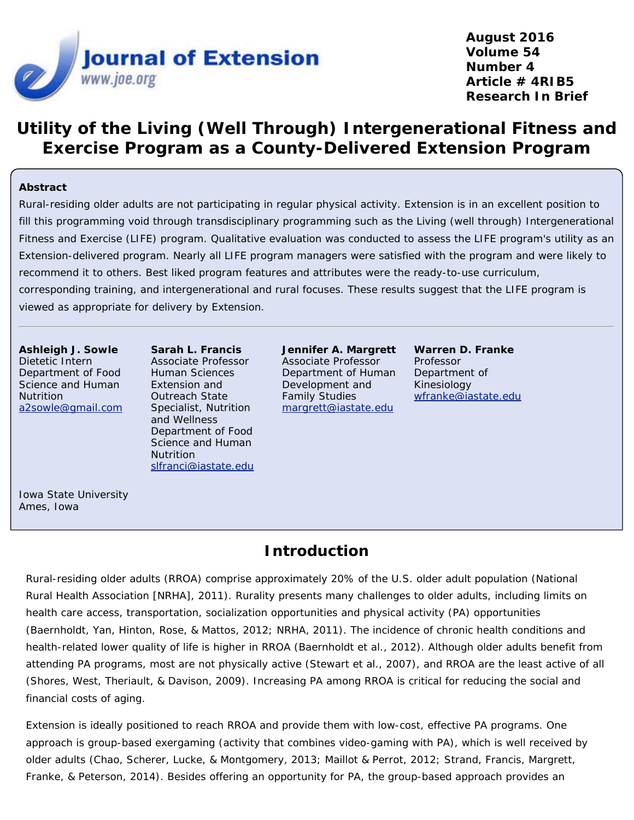

**August 2016 Volume 54 Number 4 Article # 4RIB5 Research In Brief**

# **Utility of the Living (Well Through) Intergenerational Fitness and Exercise Program as a County-Delivered Extension Program**

#### **Abstract**

Rural-residing older adults are not participating in regular physical activity. Extension is in an excellent position to fill this programming void through transdisciplinary programming such as the Living (well through) Intergenerational Fitness and Exercise (LIFE) program. Qualitative evaluation was conducted to assess the LIFE program's utility as an Extension-delivered program. Nearly all LIFE program managers were satisfied with the program and were likely to recommend it to others. Best liked program features and attributes were the ready-to-use curriculum, corresponding training, and intergenerational and rural focuses. These results suggest that the LIFE program is viewed as appropriate for delivery by Extension.

**Ashleigh J. Sowle** Dietetic Intern Department of Food Science and Human **Nutrition** [a2sowle@gmail.com](mailto:a2sowle@gmail.com)

**Sarah L. Francis** Associate Professor Human Sciences Extension and Outreach State Specialist, Nutrition and Wellness Department of Food Science and Human Nutrition [slfranci@iastate.edu](mailto:slfranci@iastate.edu)

**Jennifer A. Margrett** Associate Professor Department of Human Development and Family Studies [margrett@iastate.edu](mailto:margrett@iastate.edu)

**Warren D. Franke** Professor Department of Kinesiology [wfranke@iastate.edu](mailto:wfranke@iastate.edu)

Iowa State University Ames, Iowa

### **Introduction**

Rural-residing older adults (RROA) comprise approximately 20% of the U.S. older adult population (National Rural Health Association [NRHA], 2011). Rurality presents many challenges to older adults, including limits on health care access, transportation, socialization opportunities and physical activity (PA) opportunities (Baernholdt, Yan, Hinton, Rose, & Mattos, 2012; NRHA, 2011). The incidence of chronic health conditions and health-related lower quality of life is higher in RROA (Baernholdt et al., 2012). Although older adults benefit from attending PA programs, most are not physically active (Stewart et al., 2007), and RROA are the least active of all (Shores, West, Theriault, & Davison, 2009). Increasing PA among RROA is critical for reducing the social and financial costs of aging.

Extension is ideally positioned to reach RROA and provide them with low-cost, effective PA programs. One approach is group-based exergaming (activity that combines video-gaming with PA), which is well received by older adults (Chao, Scherer, Lucke, & Montgomery, 2013; Maillot & Perrot, 2012; Strand, Francis, Margrett, Franke, & Peterson, 2014). Besides offering an opportunity for PA, the group-based approach provides an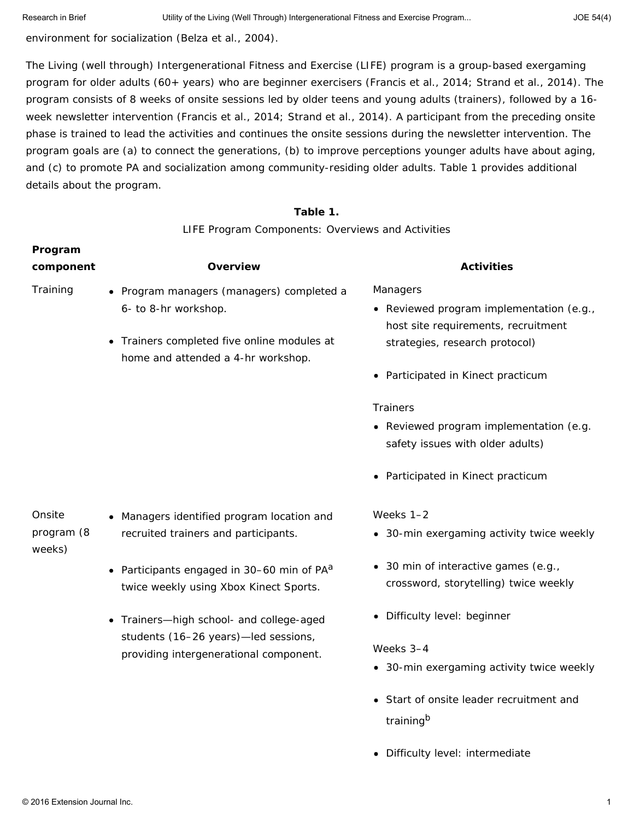environment for socialization (Belza et al., 2004).

The Living (well through) Intergenerational Fitness and Exercise (LIFE) program is a group-based exergaming program for older adults (60+ years) who are beginner exercisers (Francis et al., 2014; Strand et al., 2014). The program consists of 8 weeks of onsite sessions led by older teens and young adults (trainers), followed by a 16 week newsletter intervention (Francis et al., 2014; Strand et al., 2014). A participant from the preceding onsite phase is trained to lead the activities and continues the onsite sessions during the newsletter intervention. The program goals are (a) to connect the generations, (b) to improve perceptions younger adults have about aging, and (c) to promote PA and socialization among community-residing older adults. Table 1 provides additional details about the program.

#### **Table 1.**

LIFE Program Components: Overviews and Activities

| Program<br>component           | <b>Overview</b>                                                                                                                                                                                                                                                                                             | <b>Activities</b>                                                                                                                                                                                                                 |
|--------------------------------|-------------------------------------------------------------------------------------------------------------------------------------------------------------------------------------------------------------------------------------------------------------------------------------------------------------|-----------------------------------------------------------------------------------------------------------------------------------------------------------------------------------------------------------------------------------|
| Training                       | • Program managers (managers) completed a<br>6- to 8-hr workshop.<br>• Trainers completed five online modules at<br>home and attended a 4-hr workshop.                                                                                                                                                      | Managers<br>• Reviewed program implementation (e.g.,<br>host site requirements, recruitment<br>strategies, research protocol)<br>• Participated in Kinect practicum                                                               |
|                                |                                                                                                                                                                                                                                                                                                             | <b>Trainers</b><br>• Reviewed program implementation (e.g.<br>safety issues with older adults)<br>• Participated in Kinect practicum                                                                                              |
| Onsite<br>program (8<br>weeks) | • Managers identified program location and<br>recruited trainers and participants.<br>• Participants engaged in 30–60 min of $PA^a$<br>twice weekly using Xbox Kinect Sports.<br>• Trainers-high school- and college-aged<br>students (16-26 years)-led sessions,<br>providing intergenerational component. | Weeks 1-2<br>• 30-min exergaming activity twice weekly<br>• 30 min of interactive games (e.g.,<br>crossword, storytelling) twice weekly<br>• Difficulty level: beginner<br>Weeks 3-4<br>• 30-min exergaming activity twice weekly |
|                                |                                                                                                                                                                                                                                                                                                             | • Start of onsite leader recruitment and<br>training <sup>b</sup>                                                                                                                                                                 |

Difficulty level: intermediate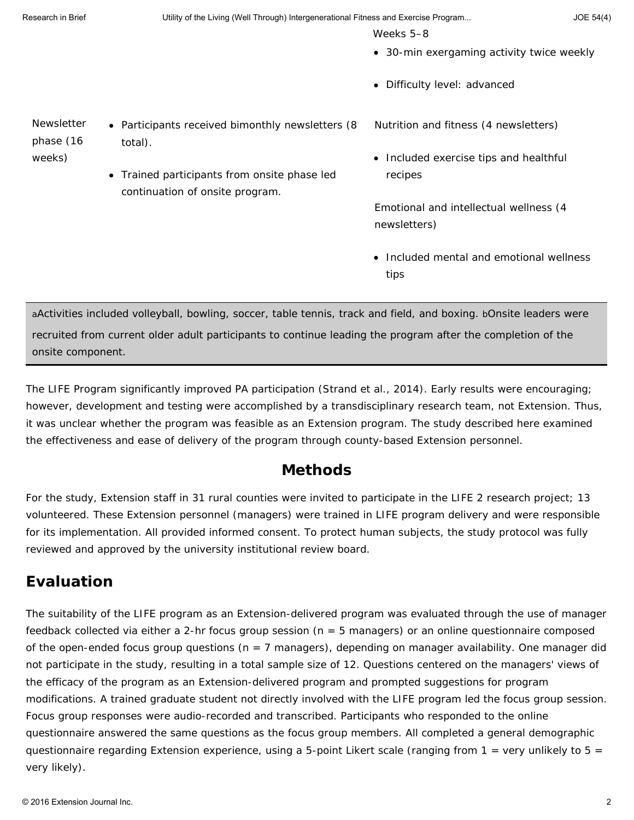Research in Brief **Exercise Clube 1** Utility of the Living (Well Through) Intergenerational Fitness and Exercise Program... JOE 54(4)

Weeks 5–8

- 30-min exergaming activity twice weekly
- Difficulty level: advanced

Newsletter phase (16 weeks)

- Participants received bimonthly newsletters (8 total).
	- Trained participants from onsite phase led continuation of onsite program.
- Nutrition and fitness (4 newsletters)
- Included exercise tips and healthful recipes

Emotional and intellectual wellness (4 newsletters)

• Included mental and emotional wellness tips

aActivities included volleyball, bowling, soccer, table tennis, track and field, and boxing. bOnsite leaders were recruited from current older adult participants to continue leading the program after the completion of the onsite component.

The LIFE Program significantly improved PA participation (Strand et al., 2014). Early results were encouraging; however, development and testing were accomplished by a transdisciplinary research team, not Extension. Thus, it was unclear whether the program was feasible as an Extension program. The study described here examined the effectiveness and ease of delivery of the program through county-based Extension personnel.

### **Methods**

For the study, Extension staff in 31 rural counties were invited to participate in the LIFE 2 research project; 13 volunteered. These Extension personnel (managers) were trained in LIFE program delivery and were responsible for its implementation. All provided informed consent. To protect human subjects, the study protocol was fully reviewed and approved by the university institutional review board.

# **Evaluation**

The suitability of the LIFE program as an Extension-delivered program was evaluated through the use of manager feedback collected via either a 2-hr focus group session (*n* = 5 managers) or an online questionnaire composed of the open-ended focus group questions (*n* = 7 managers), depending on manager availability. One manager did not participate in the study, resulting in a total sample size of 12. Questions centered on the managers' views of the efficacy of the program as an Extension-delivered program and prompted suggestions for program modifications. A trained graduate student not directly involved with the LIFE program led the focus group session. Focus group responses were audio-recorded and transcribed. Participants who responded to the online questionnaire answered the same questions as the focus group members. All completed a general demographic questionnaire regarding Extension experience, using a 5-point Likert scale (ranging from 1 = *very unlikely* to 5 = *very likely*).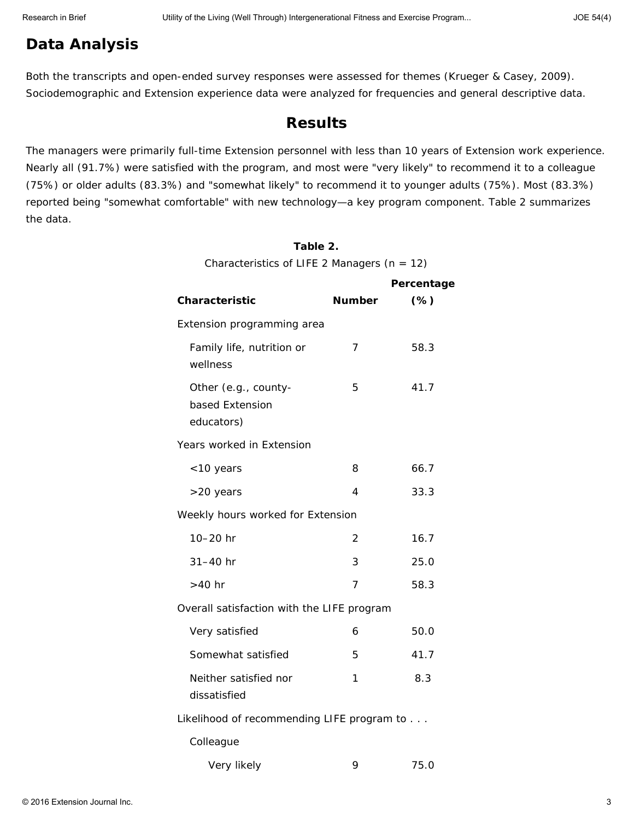### **Data Analysis**

Both the transcripts and open-ended survey responses were assessed for themes (Krueger & Casey, 2009). Sociodemographic and Extension experience data were analyzed for frequencies and general descriptive data.

#### **Results**

The managers were primarily full-time Extension personnel with less than 10 years of Extension work experience. Nearly all (91.7%) were satisfied with the program, and most were "very likely" to recommend it to a colleague (75%) or older adults (83.3%) and "somewhat likely" to recommend it to younger adults (75%). Most (83.3%) reported being "somewhat comfortable" with new technology—a key program component. Table 2 summarizes the data.

#### **Table 2.**

Characteristics of LIFE 2 Managers (*n* = 12)

|                                                       |               | Percentage |
|-------------------------------------------------------|---------------|------------|
| <b>Characteristic</b>                                 | <b>Number</b> | $(\%)$     |
| Extension programming area                            |               |            |
| Family life, nutrition or<br>wellness                 | 7             | 58.3       |
| Other (e.g., county-<br>based Extension<br>educators) | 5             | 41.7       |
| Years worked in Extension                             |               |            |
| <10 years                                             | 8             | 66.7       |
| >20 years                                             | 4             | 33.3       |
| Weekly hours worked for Extension                     |               |            |
| 10-20 hr                                              | 2             | 16.7       |
| $31 - 40$ hr                                          | 3             | 25.0       |
| $>40$ hr                                              | 7             | 58.3       |
| Overall satisfaction with the LIFE program            |               |            |
| Very satisfied                                        | 6             | 50.0       |
| Somewhat satisfied                                    | 5             | 41.7       |
| Neither satisfied nor<br>dissatisfied                 | 1             | 8.3        |
| Likelihood of recommending LIFE program to            |               |            |
| Colleague                                             |               |            |
| Very likely                                           | 9             | 75.0       |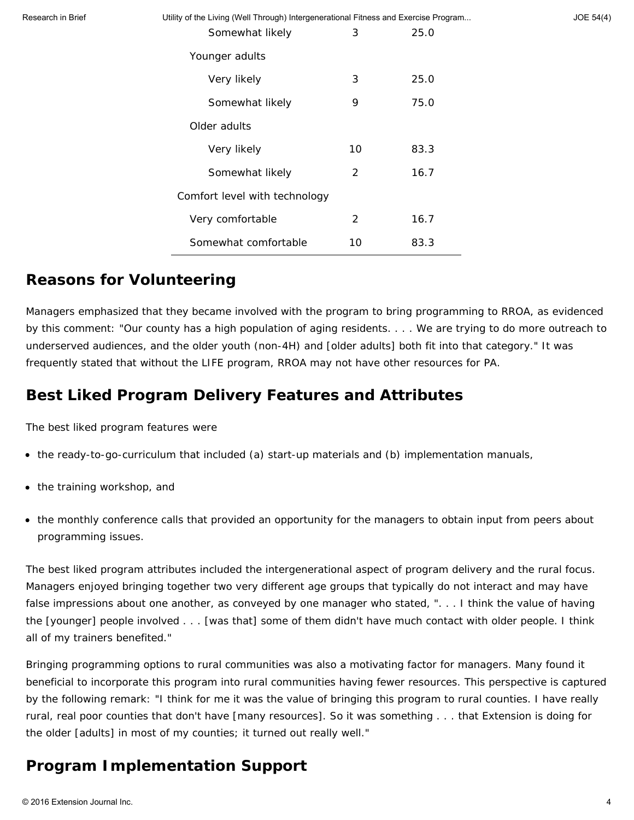Utility of the Living (Well Through) Intergenerational Fitness and Exercise Program... JOE 54(4)

| Somewhat likely               | 3  | 25.0 |  |  |
|-------------------------------|----|------|--|--|
| Younger adults                |    |      |  |  |
| Very likely                   | 3  | 25.0 |  |  |
| Somewhat likely               | 9  | 75.0 |  |  |
| Older adults                  |    |      |  |  |
| Very likely                   | 10 | 83.3 |  |  |
| Somewhat likely               | 2  | 16.7 |  |  |
| Comfort level with technology |    |      |  |  |
| Very comfortable              | 2  | 16.7 |  |  |
| Somewhat comfortable          | 10 | 83.3 |  |  |

### **Reasons for Volunteering**

Managers emphasized that they became involved with the program to bring programming to RROA, as evidenced by this comment: "Our county has a high population of aging residents. . . . We are trying to do more outreach to underserved audiences, and the older youth (non-4H) and [older adults] both fit into that category." It was frequently stated that without the LIFE program, RROA may not have other resources for PA.

## **Best Liked Program Delivery Features and Attributes**

The best liked program features were

- the ready-to-go-curriculum that included (a) start-up materials and (b) implementation manuals,
- the training workshop, and
- the monthly conference calls that provided an opportunity for the managers to obtain input from peers about programming issues.

The best liked program attributes included the intergenerational aspect of program delivery and the rural focus. Managers enjoyed bringing together two very different age groups that typically do not interact and may have false impressions about one another, as conveyed by one manager who stated, ". . . I think the value of having the [younger] people involved . . . [was that] some of them didn't have much contact with older people. I think all of my trainers benefited."

Bringing programming options to rural communities was also a motivating factor for managers. Many found it beneficial to incorporate this program into rural communities having fewer resources. This perspective is captured by the following remark: "I think for me it was the value of bringing this program to rural counties. I have really rural, real poor counties that don't have [many resources]. So it was something . . . that Extension is doing for the older [adults] in most of my counties; it turned out really well."

### **Program Implementation Support**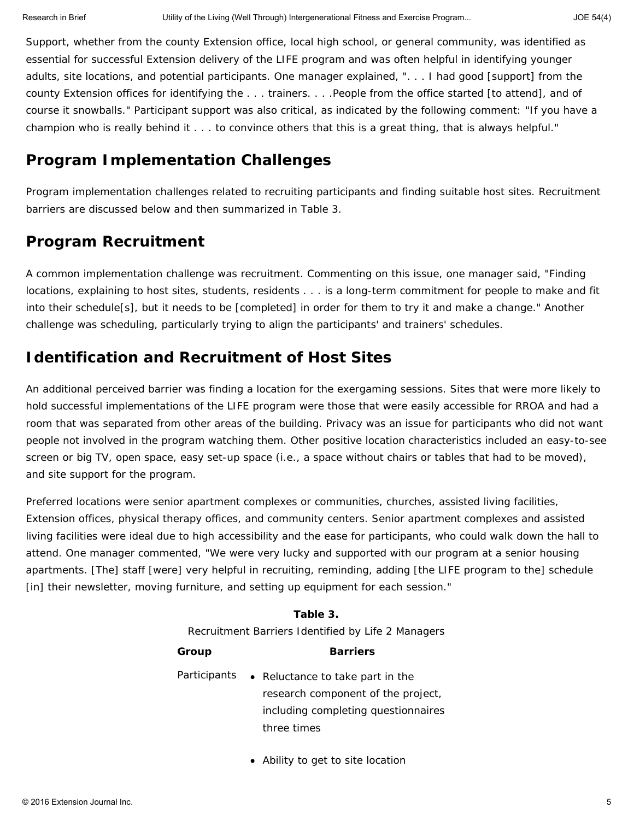Support, whether from the county Extension office, local high school, or general community, was identified as essential for successful Extension delivery of the LIFE program and was often helpful in identifying younger adults, site locations, and potential participants. One manager explained, ". . . I had good [support] from the county Extension offices for identifying the . . . trainers. . . .People from the office started [to attend], and of course it snowballs." Participant support was also critical, as indicated by the following comment: "If you have a champion who is really behind it . . . to convince others that this is a great thing, that is always helpful."

### **Program Implementation Challenges**

Program implementation challenges related to recruiting participants and finding suitable host sites. Recruitment barriers are discussed below and then summarized in Table 3.

### *Program Recruitment*

A common implementation challenge was recruitment. Commenting on this issue, one manager said, "Finding locations, explaining to host sites, students, residents . . . is a long-term commitment for people to make and fit into their schedule[s], but it needs to be [completed] in order for them to try it and make a change." Another challenge was scheduling, particularly trying to align the participants' and trainers' schedules.

## *Identification and Recruitment of Host Sites*

An additional perceived barrier was finding a location for the exergaming sessions. Sites that were more likely to hold successful implementations of the LIFE program were those that were easily accessible for RROA and had a room that was separated from other areas of the building. Privacy was an issue for participants who did not want people not involved in the program watching them. Other positive location characteristics included an easy-to-see screen or big TV, open space, easy set-up space (i.e., a space without chairs or tables that had to be moved), and site support for the program.

Preferred locations were senior apartment complexes or communities, churches, assisted living facilities, Extension offices, physical therapy offices, and community centers. Senior apartment complexes and assisted living facilities were ideal due to high accessibility and the ease for participants, who could walk down the hall to attend. One manager commented, "We were very lucky and supported with our program at a senior housing apartments. [The] staff [were] very helpful in recruiting, reminding, adding [the LIFE program to the] schedule [in] their newsletter, moving furniture, and setting up equipment for each session."

# **Table 3.** Recruitment Barriers Identified by Life 2 Managers **Group Barriers**

Participants • Reluctance to take part in the research component of the project, including completing questionnaires three times

Ability to get to site location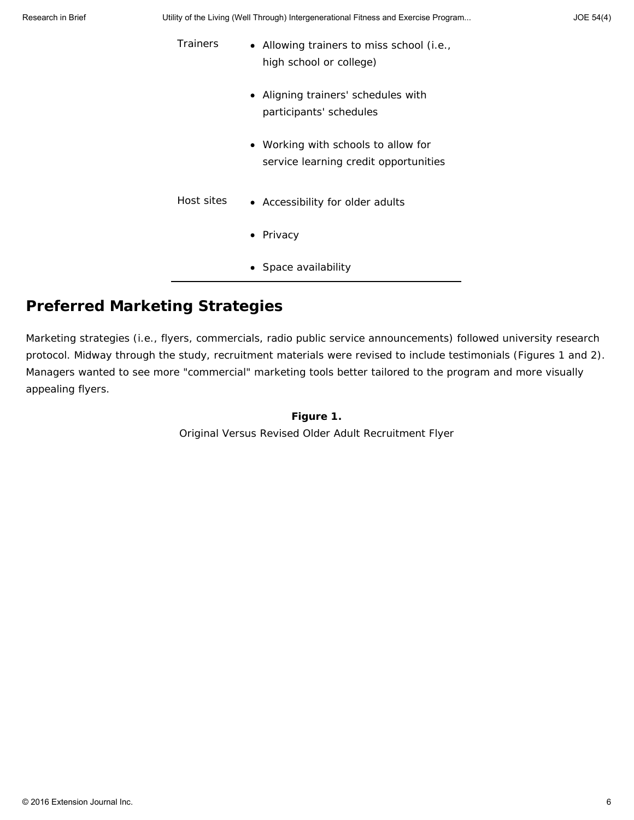| <u>Utility of the Living (Well Through) intergenerational Fitness and Exercise Frogram</u> |                                                                              |  |
|--------------------------------------------------------------------------------------------|------------------------------------------------------------------------------|--|
| <b>Trainers</b>                                                                            | • Allowing trainers to miss school (i.e.,<br>high school or college)         |  |
|                                                                                            | • Aligning trainers' schedules with<br>participants' schedules               |  |
|                                                                                            | • Working with schools to allow for<br>service learning credit opportunities |  |
| Host sites                                                                                 | • Accessibility for older adults                                             |  |
|                                                                                            | • Privacy                                                                    |  |
|                                                                                            | • Space availability                                                         |  |

# **Preferred Marketing Strategies**

Marketing strategies (i.e., flyers, commercials, radio public service announcements) followed university research protocol. Midway through the study, recruitment materials were revised to include testimonials (Figures 1 and 2). Managers wanted to see more "commercial" marketing tools better tailored to the program and more visually appealing flyers.

> **Figure 1.** Original Versus Revised Older Adult Recruitment Flyer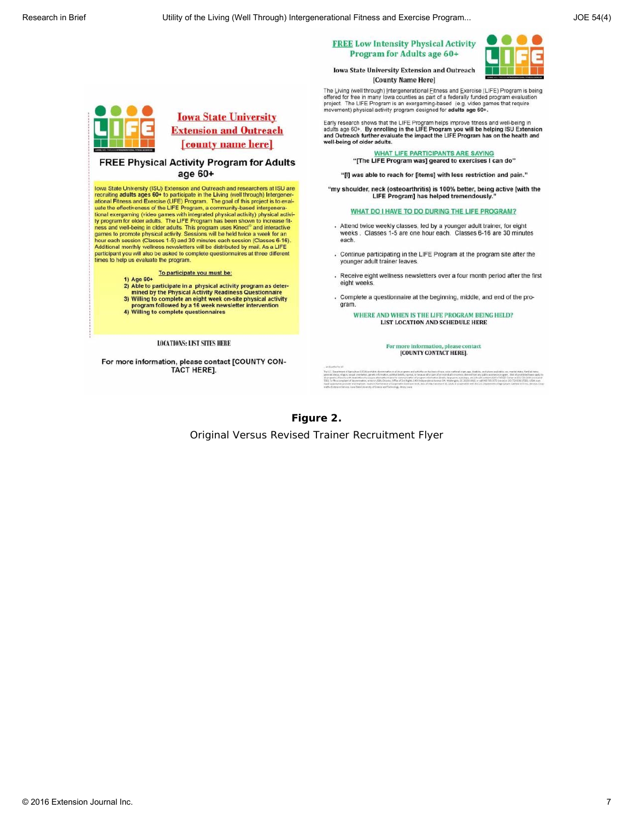|  |  |                            | <b>FREE Low Intensity Physical Activity</b> |
|--|--|----------------------------|---------------------------------------------|
|  |  | Program for Adults age 60+ |                                             |



Iowa State University Extension and Outreach [County Name Here]

The Living (well through) Intergenerational Eitness and Exercise (LIFE) Program is being offered for free in many lows countles as part of a federally funded program evaluation<br>project. The LIFE Program is an exergaming-based (e.g. video games that require<br>movement) physical activity program designed for **adul** 

Early research shows that the LIFE Program helps improve fitness and well-being in<br>adults age 60+. By enrolling in the LIFE Program you will be helping ISU Extension<br>and Outreach further evaluate the impact the LIFE Progra well-being of older adults.

> WHAT LIFE PARTICIPANTS ARE SAYING "[The LIFE Program was] geared to exercises I can do"

"[I] was able to reach for [items] with less restriction and pain."

"my shoulder, neck (osteoarthritis) is 100% better, being active [with the LIFE Program] has helped tremendously.

WHAT DO I HAVE TO DO DURING THE LIFE PROGRAM?

- Attend twice weekly classes, led by a younger adult trainer, for eight weeks. Classes 1-5 are one hour each. Classes 6-16 are 30 minutes each.
- . Continue participating in the LIFE Program at the program site after the younger adult trainer leaves
- Receive eight wellness newsletters over a four month period after the first eight weeks
- Complete a questionnaire at the beginning, middle, and end of the program.

WHERE AND WHEN IS THE LIFE PROGRAM BEING HELD? LIST LOCATION AND SCHEDULE HERE

> For more information, please contact [COUNTY CONTACT HERE].

#### **Figure 2.**

Original Versus Revised Trainer Recruitment Flyer



#### **FREE Physical Activity Program for Adults** age 60+

lowa State University (ISU) Extension and Outreach and researchers at ISU are<br>recruiting adults ages 60+ to participate in the Living (well through) Intergenerational Fitness and Exercise (LIFE) Program. The goal of this project is to evaluate the effectiveness of the LIFE Program, a community-based intergenerauate the entercoveness or the LITE Program, a community-assed mitergrapherational exergaming (video games with integrated physical activity) physical activity program for older adults. The LIFE Program has been shown to in Additional monthly wellness newsletters will be distributed by mail. As a LIFE participant you will also be asked to complete questionnaires at three different times to help us evaluate the program.

# To participate you must be:<br>
1) Age 60+<br>
To participate is a shorted solution

- 2) Able to participate in a physical activity program as deter-<br>mined by the Physical Activity Readiness Questionnaire
- 3) Willing to complete an eight week on-site physical activity<br>3) Willing to complete an eight week on-site physical activity<br>program followed by a 16 week newsletter intervention<br>4) Willing to complete questionnaires
- 
- 

**LOCATIONS: LIST SITES HERE** 

For more information, please contact [COUNTY CON-TACT HERE].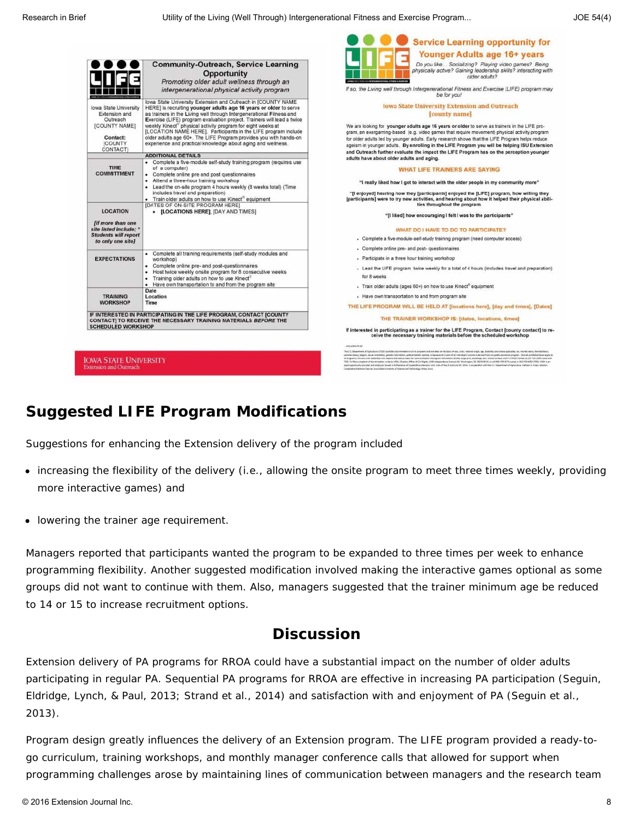**O** O Service Learning opportunity for

|                                                                                                                      |                                                                                                                                                                                                                                                                                                                                                                                                                                                                                                                                                           | Younger Adults age 16+ years                                                                                                                                                                                                                                                                                                                                                                                                                                                                                                                                                                                                                                                                                                                                                                                                                                                                                                                                                                                                                                                                                                                                           |
|----------------------------------------------------------------------------------------------------------------------|-----------------------------------------------------------------------------------------------------------------------------------------------------------------------------------------------------------------------------------------------------------------------------------------------------------------------------------------------------------------------------------------------------------------------------------------------------------------------------------------------------------------------------------------------------------|------------------------------------------------------------------------------------------------------------------------------------------------------------------------------------------------------------------------------------------------------------------------------------------------------------------------------------------------------------------------------------------------------------------------------------------------------------------------------------------------------------------------------------------------------------------------------------------------------------------------------------------------------------------------------------------------------------------------------------------------------------------------------------------------------------------------------------------------------------------------------------------------------------------------------------------------------------------------------------------------------------------------------------------------------------------------------------------------------------------------------------------------------------------------|
|                                                                                                                      | <b>Community-Outreach, Service Learning</b><br>Opportunity<br>Promoting older adult wellness through an                                                                                                                                                                                                                                                                                                                                                                                                                                                   | Do you like Socializing? Playing video games? Being<br>physically active? Gaining leadership skills? Interacting with<br>older adults?                                                                                                                                                                                                                                                                                                                                                                                                                                                                                                                                                                                                                                                                                                                                                                                                                                                                                                                                                                                                                                 |
|                                                                                                                      | intergenerational physical activity program                                                                                                                                                                                                                                                                                                                                                                                                                                                                                                               | If so, the Living well through Intergenerational Fitness and Exercise (LIFE) program may<br>be for you!                                                                                                                                                                                                                                                                                                                                                                                                                                                                                                                                                                                                                                                                                                                                                                                                                                                                                                                                                                                                                                                                |
| Iowa State University<br>Extension and<br>Outreach<br>[COUNTY NAME]<br>Contact:<br><b>ICOUNTY</b><br><b>CONTACT)</b> | lowa State University Extension and Outreach in [COUNTY NAME<br>HERE) is recruiting younger adults age 16 years or older to serve<br>as trainers in the Living well through Intergenerational Fitness and<br>Exercise (LIFE) program evaluation project. Trainers will lead a twice<br>weekly Kinect" physical activity program for eight weeks at<br>[LOCATION NAME HERE]. Participants in the LIFE program include<br>older adults age 60+. The LIFE Program provides you with hands-on<br>experience and practical knowledge about aging and wellness. | <b>Iowa State University Extension and Outreach</b><br>[county name]<br>We are looking for younger adults age 16 years or older to serve as trainers in the LIFE pro-<br>gram, an exergaming-based (e.g. video games that require movement) physical activity program<br>for older adults led by younger adults. Early research shows that the LIFE Program helps reduce<br>ageism in younger adults. By enrolling in the LIFE Program you will be helping ISU Extension<br>and Outreach further evaluate the impact the LIFE Program has on the perception younger                                                                                                                                                                                                                                                                                                                                                                                                                                                                                                                                                                                                    |
|                                                                                                                      | <b>ADDITIONAL DETAILS</b>                                                                                                                                                                                                                                                                                                                                                                                                                                                                                                                                 | adults have about older adults and aging.                                                                                                                                                                                                                                                                                                                                                                                                                                                                                                                                                                                                                                                                                                                                                                                                                                                                                                                                                                                                                                                                                                                              |
| <b>TIME</b><br><b>COMMITTMENT</b>                                                                                    | - Complete a five-module self-study training program (requires use<br>of a computer)<br>• Complete online pre and post questionnaires<br>. Attend a three-hour training workshop<br>. Lead the on-site program 4 hours weekly (8 weeks total) (Time                                                                                                                                                                                                                                                                                                       | <b>WHAT LIFE TRAINERS ARE SAYING</b>                                                                                                                                                                                                                                                                                                                                                                                                                                                                                                                                                                                                                                                                                                                                                                                                                                                                                                                                                                                                                                                                                                                                   |
|                                                                                                                      |                                                                                                                                                                                                                                                                                                                                                                                                                                                                                                                                                           | "I really liked how I got to interact with the older people in my community more"                                                                                                                                                                                                                                                                                                                                                                                                                                                                                                                                                                                                                                                                                                                                                                                                                                                                                                                                                                                                                                                                                      |
|                                                                                                                      | includes travel and preparation)<br>. Train older adults on how to use Kinect" equipment<br><b>IDATES OF ON-SITE PROGRAM HERE!</b>                                                                                                                                                                                                                                                                                                                                                                                                                        | "[I enjoyed] hearing how they [participants] enjoyed the [LIFE] program, how willing they<br>[participants] were to try new activities, and hearing about how it helped their physical abili-<br>ties throughout the program.                                                                                                                                                                                                                                                                                                                                                                                                                                                                                                                                                                                                                                                                                                                                                                                                                                                                                                                                          |
| <b>LOCATION</b><br><b>fif more than one</b>                                                                          | • [LOCATIONS HERE], [DAY AND TIMES]                                                                                                                                                                                                                                                                                                                                                                                                                                                                                                                       | "[I liked] how encouraging I felt I was to the participants"                                                                                                                                                                                                                                                                                                                                                                                                                                                                                                                                                                                                                                                                                                                                                                                                                                                                                                                                                                                                                                                                                                           |
| site listed include: '<br><b>Students will report</b>                                                                |                                                                                                                                                                                                                                                                                                                                                                                                                                                                                                                                                           | WHAT DO I HAVE TO DO TO PARTICIPATE?                                                                                                                                                                                                                                                                                                                                                                                                                                                                                                                                                                                                                                                                                                                                                                                                                                                                                                                                                                                                                                                                                                                                   |
| to only one site]                                                                                                    |                                                                                                                                                                                                                                                                                                                                                                                                                                                                                                                                                           | - Complete a five-module-self-study training program (need computer access)                                                                                                                                                                                                                                                                                                                                                                                                                                                                                                                                                                                                                                                                                                                                                                                                                                                                                                                                                                                                                                                                                            |
|                                                                                                                      | - Complete all training requirements (self-study modules and                                                                                                                                                                                                                                                                                                                                                                                                                                                                                              | - Complete online pre- and post- questionnaires                                                                                                                                                                                                                                                                                                                                                                                                                                                                                                                                                                                                                                                                                                                                                                                                                                                                                                                                                                                                                                                                                                                        |
| <b>EXPECTATIONS</b>                                                                                                  | workshop)                                                                                                                                                                                                                                                                                                                                                                                                                                                                                                                                                 | - Participate in a three hour training workshop                                                                                                                                                                                                                                                                                                                                                                                                                                                                                                                                                                                                                                                                                                                                                                                                                                                                                                                                                                                                                                                                                                                        |
|                                                                                                                      | Complete online pre- and post-questionnaires<br>٠<br>Host twice weekly onsite program for 8 consecutive weeks<br>٠<br>Training older adults on how to use Kinect®<br>٠                                                                                                                                                                                                                                                                                                                                                                                    | - Lead the LIFE program twice weekly for a total of 4 hours (includes travel and preparation)<br>for 8 weeks                                                                                                                                                                                                                                                                                                                                                                                                                                                                                                                                                                                                                                                                                                                                                                                                                                                                                                                                                                                                                                                           |
|                                                                                                                      | . Have own transportation to and from the program site                                                                                                                                                                                                                                                                                                                                                                                                                                                                                                    | - Train older adults (ages 60+) on how to use Kinect® equipment                                                                                                                                                                                                                                                                                                                                                                                                                                                                                                                                                                                                                                                                                                                                                                                                                                                                                                                                                                                                                                                                                                        |
| <b>TRAINING</b>                                                                                                      | Date<br>Location                                                                                                                                                                                                                                                                                                                                                                                                                                                                                                                                          | - Have own transportation to and from program site                                                                                                                                                                                                                                                                                                                                                                                                                                                                                                                                                                                                                                                                                                                                                                                                                                                                                                                                                                                                                                                                                                                     |
| <b>WORKSHOP</b>                                                                                                      | Time                                                                                                                                                                                                                                                                                                                                                                                                                                                                                                                                                      | THE LIFE PROGRAM WILL BE HELD AT [locations here], [day and times], [Dates]                                                                                                                                                                                                                                                                                                                                                                                                                                                                                                                                                                                                                                                                                                                                                                                                                                                                                                                                                                                                                                                                                            |
|                                                                                                                      | IF INTERESTED IN PARTICIPATING IN THE LIFE PROGRAM, CONTACT [COUNTY<br>CONTACT] TO RECEIVE THE NECESSARY TRAINING MATERIALS BEFORE THE                                                                                                                                                                                                                                                                                                                                                                                                                    | THE TRAINER WORKSHOP IS: [dates, locations, times]                                                                                                                                                                                                                                                                                                                                                                                                                                                                                                                                                                                                                                                                                                                                                                                                                                                                                                                                                                                                                                                                                                                     |
| <b>SCHEDULED WORKSHOP</b>                                                                                            |                                                                                                                                                                                                                                                                                                                                                                                                                                                                                                                                                           | If interested in participating as a trainer for the LIFE Program, Contact [county contact] to re<br>ceive the necessary training materials before the scheduled workshop                                                                                                                                                                                                                                                                                                                                                                                                                                                                                                                                                                                                                                                                                                                                                                                                                                                                                                                                                                                               |
|                                                                                                                      |                                                                                                                                                                                                                                                                                                                                                                                                                                                                                                                                                           | and seems breat                                                                                                                                                                                                                                                                                                                                                                                                                                                                                                                                                                                                                                                                                                                                                                                                                                                                                                                                                                                                                                                                                                                                                        |
| <b><i>OWA STATE UNIVERSITY</i></b><br><b>stension and Outreach</b>                                                   |                                                                                                                                                                                                                                                                                                                                                                                                                                                                                                                                                           | The U.S. Department of Aproximas UNIAI protected processed in all to program and actuated on the basic of yes, color, widows angle, age, the training, socioliste, sec, marked and worked that<br>pervenui datas, religios, neuat amerizinas, genem reboruzium, poblaidades, regnas, en becapie ad vi part af en matchalt course indecimatively any pablo austral program. (Fundal problems apply<br>all programs) Persons with Dadolition who equate internative means for sporms muster of program information fibres for payable, legal print, exploring, and should contest today fidentific facebook at \$1.195.0000 color and<br>120. To the a complement discrementation artists (\$20, Director, DRee of Coll Rights, 2000 Integershores boarce DV, Workington, OC 2020-0432, or sell RD/705 \$272 (color) or 202-722-0302 (TDD) 1/200 a en<br>aquid superhealty provider and amplique found in furthermos of Cooperative Edmontos vote, Auto of May 8 and June 50, 2014, it is consecution with the U.S. Department of Aprica for Cofferent A. Crear, director,<br>Cooperative Enterstandances, breaklists University of Science and Technology, Arens break- |
|                                                                                                                      |                                                                                                                                                                                                                                                                                                                                                                                                                                                                                                                                                           |                                                                                                                                                                                                                                                                                                                                                                                                                                                                                                                                                                                                                                                                                                                                                                                                                                                                                                                                                                                                                                                                                                                                                                        |

# **Suggested LIFE Program Modifications**

Suggestions for enhancing the Extension delivery of the program included

- increasing the flexibility of the delivery (i.e., allowing the onsite program to meet three times weekly, providing more interactive games) and
- lowering the trainer age requirement.

Managers reported that participants wanted the program to be expanded to three times per week to enhance programming flexibility. Another suggested modification involved making the interactive games optional as some groups did not want to continue with them. Also, managers suggested that the trainer minimum age be reduced to 14 or 15 to increase recruitment options.

### **Discussion**

Extension delivery of PA programs for RROA could have a substantial impact on the number of older adults participating in regular PA. Sequential PA programs for RROA are effective in increasing PA participation (Seguin, Eldridge, Lynch, & Paul, 2013; Strand et al., 2014) and satisfaction with and enjoyment of PA (Seguin et al., 2013).

Program design greatly influences the delivery of an Extension program. The LIFE program provided a ready-togo curriculum, training workshops, and monthly manager conference calls that allowed for support when programming challenges arose by maintaining lines of communication between managers and the research team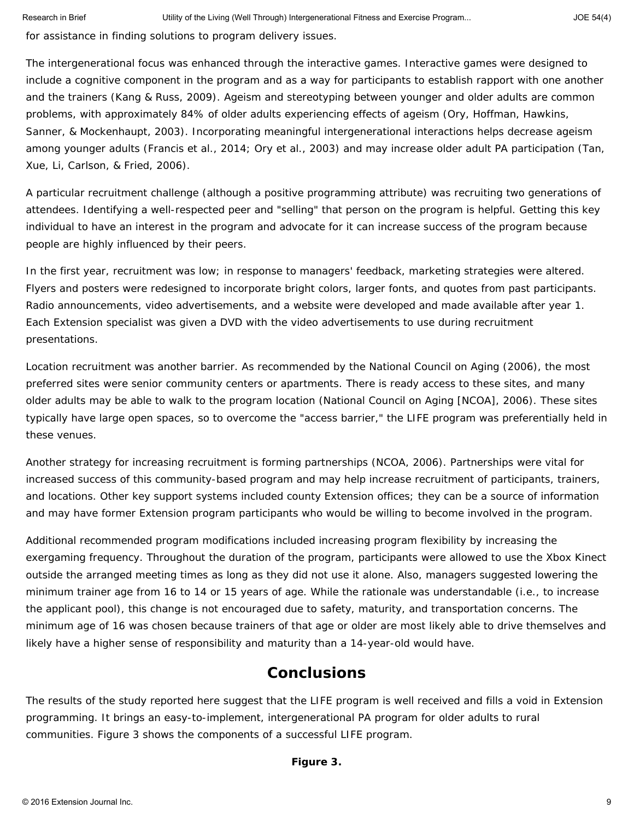for assistance in finding solutions to program delivery issues.

The intergenerational focus was enhanced through the interactive games. Interactive games were designed to include a cognitive component in the program and as a way for participants to establish rapport with one another and the trainers (Kang & Russ, 2009). Ageism and stereotyping between younger and older adults are common problems, with approximately 84% of older adults experiencing effects of ageism (Ory, Hoffman, Hawkins, Sanner, & Mockenhaupt, 2003). Incorporating meaningful intergenerational interactions helps decrease ageism among younger adults (Francis et al., 2014; Ory et al., 2003) and may increase older adult PA participation (Tan, Xue, Li, Carlson, & Fried, 2006).

A particular recruitment challenge (although a positive programming attribute) was recruiting two generations of attendees. Identifying a well-respected peer and "selling" that person on the program is helpful. Getting this key individual to have an interest in the program and advocate for it can increase success of the program because people are highly influenced by their peers.

In the first year, recruitment was low; in response to managers' feedback, marketing strategies were altered. Flyers and posters were redesigned to incorporate bright colors, larger fonts, and quotes from past participants. Radio announcements, video advertisements, and a website were developed and made available after year 1. Each Extension specialist was given a DVD with the video advertisements to use during recruitment presentations.

Location recruitment was another barrier. As recommended by the National Council on Aging (2006), the most preferred sites were senior community centers or apartments. There is ready access to these sites, and many older adults may be able to walk to the program location (National Council on Aging [NCOA], 2006). These sites typically have large open spaces, so to overcome the "access barrier," the LIFE program was preferentially held in these venues.

Another strategy for increasing recruitment is forming partnerships (NCOA, 2006). Partnerships were vital for increased success of this community-based program and may help increase recruitment of participants, trainers, and locations. Other key support systems included county Extension offices; they can be a source of information and may have former Extension program participants who would be willing to become involved in the program.

Additional recommended program modifications included increasing program flexibility by increasing the exergaming frequency. Throughout the duration of the program, participants were allowed to use the Xbox Kinect outside the arranged meeting times as long as they did not use it alone. Also, managers suggested lowering the minimum trainer age from 16 to 14 or 15 years of age. While the rationale was understandable (i.e., to increase the applicant pool), this change is not encouraged due to safety, maturity, and transportation concerns. The minimum age of 16 was chosen because trainers of that age or older are most likely able to drive themselves and likely have a higher sense of responsibility and maturity than a 14-year-old would have.

#### **Conclusions**

The results of the study reported here suggest that the LIFE program is well received and fills a void in Extension programming. It brings an easy-to-implement, intergenerational PA program for older adults to rural communities. Figure 3 shows the components of a successful LIFE program.

**Figure 3.**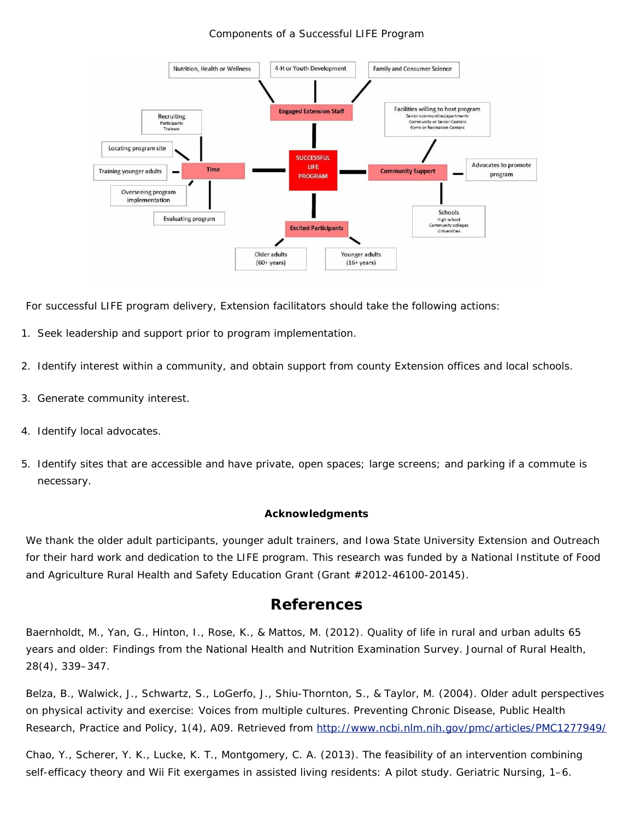#### Components of a Successful LIFE Program



For successful LIFE program delivery, Extension facilitators should take the following actions:

- 1. Seek leadership and support prior to program implementation.
- 2. Identify interest within a community, and obtain support from county Extension offices and local schools.
- 3. Generate community interest.
- 4. Identify local advocates.
- 5. Identify sites that are accessible and have private, open spaces; large screens; and parking if a commute is necessary.

#### **Acknowledgments**

We thank the older adult participants, younger adult trainers, and Iowa State University Extension and Outreach for their hard work and dedication to the LIFE program. This research was funded by a National Institute of Food and Agriculture Rural Health and Safety Education Grant (Grant #2012-46100-20145).

#### **References**

Baernholdt, M., Yan, G., Hinton, I., Rose, K., & Mattos, M. (2012). Quality of life in rural and urban adults 65 years and older: Findings from the National Health and Nutrition Examination Survey. *Journal of Rural Health*, *28*(4), 339–347.

Belza, B., Walwick, J., Schwartz, S., LoGerfo, J., Shiu-Thornton, S., & Taylor, M. (2004). Older adult perspectives on physical activity and exercise: Voices from multiple cultures. *Preventing Chronic Disease, Public Health Research, Practice and Policy*, *1*(4), A09. Retrieved from <http://www.ncbi.nlm.nih.gov/pmc/articles/PMC1277949/>

Chao, Y., Scherer, Y. K., Lucke, K. T., Montgomery, C. A. (2013). The feasibility of an intervention combining self-efficacy theory and Wii Fit exergames in assisted living residents: A pilot study. *Geriatric Nursing*, 1–6.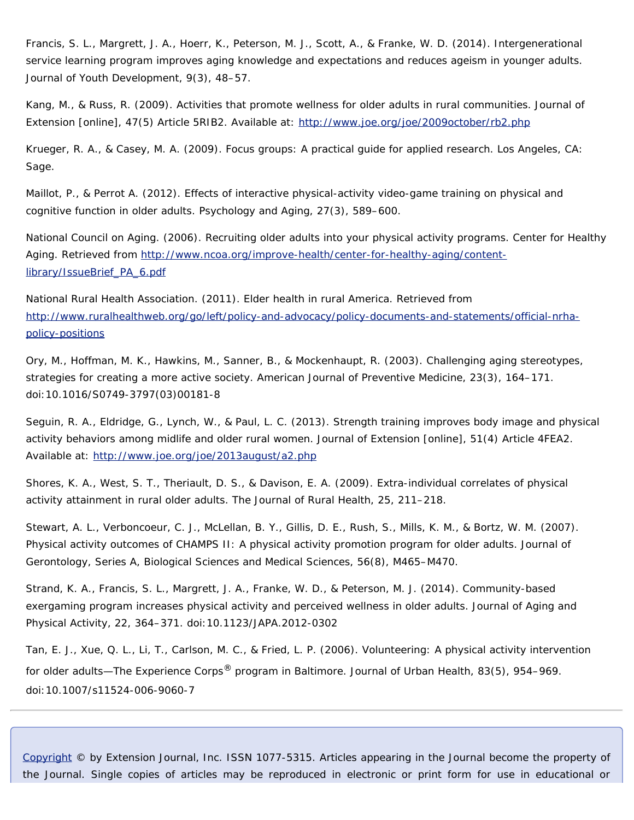Francis, S. L., Margrett, J. A., Hoerr, K., Peterson, M. J., Scott, A., & Franke, W. D. (2014). Intergenerational service learning program improves aging knowledge and expectations and reduces ageism in younger adults. *Journal of Youth Development*, *9*(3), 48–57.

Kang, M., & Russ, R. (2009). Activities that promote wellness for older adults in rural communities. *Journal of Extension* [online], *47*(5) Article 5RIB2. Available at:<http://www.joe.org/joe/2009october/rb2.php>

Krueger, R. A., & Casey, M. A. (2009). *Focus groups: A practical guide for applied research*. Los Angeles, CA: Sage.

Maillot, P., & Perrot A. (2012). Effects of interactive physical-activity video-game training on physical and cognitive function in older adults. *Psychology and Aging*, *27*(3), 589–600.

National Council on Aging. (2006). *Recruiting older adults into your physical activity programs*. Center for Healthy Aging. Retrieved from [http://www.ncoa.org/improve-health/center-for-healthy-aging/content](http://www.ncoa.org/improve-health/center-for-healthy-aging/content-library/IssueBrief_PA_6.pdf)[library/IssueBrief\\_PA\\_6.pdf](http://www.ncoa.org/improve-health/center-for-healthy-aging/content-library/IssueBrief_PA_6.pdf)

National Rural Health Association. (2011). *Elder health in rural America*. Retrieved from [http://www.ruralhealthweb.org/go/left/policy-and-advocacy/policy-documents-and-statements/official-nrha](http://www.ruralhealthweb.org/go/left/policy-and-advocacy/policy-documents-and-statements/official-nrha-policy-positions)[policy-positions](http://www.ruralhealthweb.org/go/left/policy-and-advocacy/policy-documents-and-statements/official-nrha-policy-positions)

Ory, M., Hoffman, M. K., Hawkins, M., Sanner, B., & Mockenhaupt, R. (2003). Challenging aging stereotypes, strategies for creating a more active society. *American Journal of Preventive Medicine*, *23*(3), 164–171. doi:10.1016/S0749-3797(03)00181-8

Seguin, R. A., Eldridge, G., Lynch, W., & Paul, L. C. (2013). Strength training improves body image and physical activity behaviors among midlife and older rural women. *Journal of Extension* [online], *51*(4) Article 4FEA2. Available at:<http://www.joe.org/joe/2013august/a2.php>

Shores, K. A., West, S. T., Theriault, D. S., & Davison, E. A. (2009). Extra-individual correlates of physical activity attainment in rural older adults. *The Journal of Rural Health*, *25*, 211–218.

Stewart, A. L., Verboncoeur, C. J., McLellan, B. Y., Gillis, D. E., Rush, S., Mills, K. M., & Bortz, W. M. (2007). Physical activity outcomes of CHAMPS II: A physical activity promotion program for older adults. *Journal of Gerontology, Series A, Biological Sciences and Medical Sciences*, *56*(8), M465–M470.

Strand, K. A., Francis, S. L., Margrett, J. A., Franke, W. D., & Peterson, M. J. (2014). Community-based exergaming program increases physical activity and perceived wellness in older adults. *Journal of Aging and Physical Activity*, *22*, 364–371. doi:10.1123/JAPA.2012-0302

Tan, E. J., Xue, Q. L., Li, T., Carlson, M. C., & Fried, L. P. (2006). Volunteering: A physical activity intervention for older adults—The Experience Corps® program in Baltimore. *Journal of Urban Health*, *83*(5), 954–969. doi:10.1007/s11524-006-9060-7

*[Copyright](http://www.joe.org/about-joe-copyright-policy.php) © by Extension Journal, Inc.* ISSN 1077-5315. Articles appearing in the Journal become the property of the Journal. Single copies of articles may be reproduced in electronic or print form for use in educational or